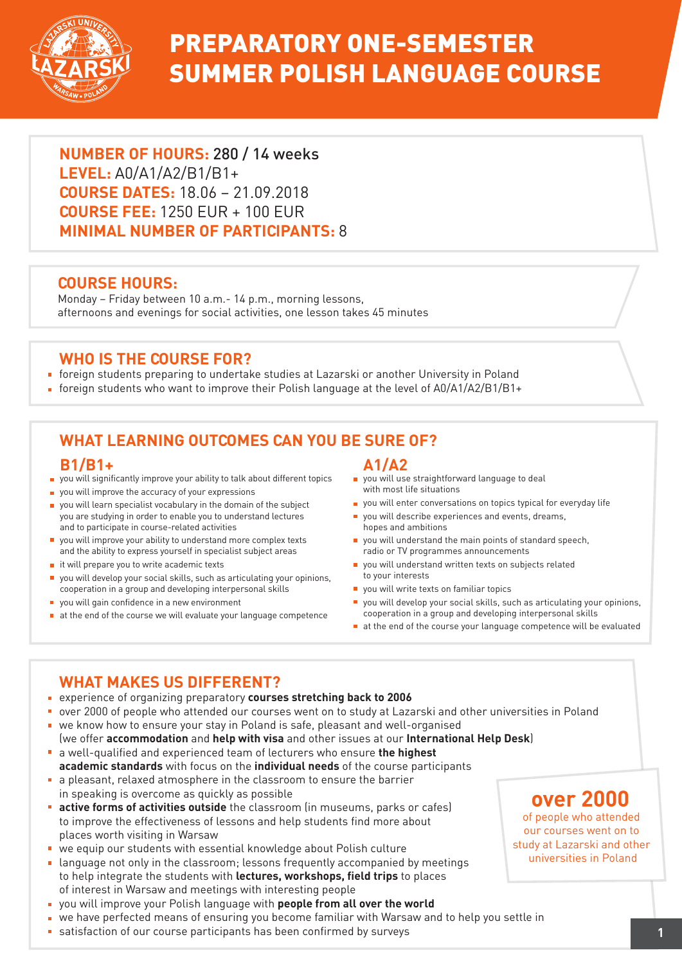

## PREPARATORY ONE-SEMESTER SUMMER POLISH LANGUAGE COURSE

**NUMBER OF HOURS:** 280 / 14 weeks **LEVEL:** A0/A1/A2/B1/B1+ **COURSE DATES:** 18.06 – 21.09.2018 **COURSE FEE:** 1250 EUR + 100 EUR **MINIMAL NUMBER OF PARTICIPANTS:** 8

#### **COURSE HOURS:**

Monday – Friday between 10 a.m.- 14 p.m., morning lessons, afternoons and evenings for social activities, one lesson takes 45 minutes

#### **WHO IS THE COURSE FOR?**

- foreign students preparing to undertake studies at Lazarski or another University in Poland
- foreign students who want to improve their Polish language at the level of  $A0/A1/A2/B1/B1+$

### **WHAT LEARNING OUTCOMES CAN YOU BE SURE OF?**

#### **B1/B1+**

- you will significantly improve your ability to talk about different topics
- **p** you will improve the accuracy of your expressions
- vou will learn specialist vocabulary in the domain of the subject you are studying in order to enable you to understand lectures and to participate in course-related activities
- you will improve your ability to understand more complex texts and the ability to express yourself in specialist subject areas
- $\blacksquare$  it will prepare you to write academic texts
- you will develop your social skills, such as articulating your opinions, cooperation in a group and developing interpersonal skills
- vou will gain confidence in a new environment
- at the end of the course we will evaluate your language competence

**A1/A2**

- **p** you will use straightforward language to deal with most life situations
- vou will enter conversations on topics typical for everyday life
- vou will describe experiences and events, dreams, hopes and ambitions
- vou will understand the main points of standard speech, radio or TV programmes announcements
- vou will understand written texts on subjects related to your interests
- vou will write texts on familiar topics
- you will develop your social skills, such as articulating your opinions, cooperation in a group and developing interpersonal skills
- at the end of the course your language competence will be evaluated

#### **WHAT MAKES US DIFFERENT?**

- experience of organizing preparatory **courses stretching back to 2006**
- over 2000 of people who attended our courses went on to study at Lazarski and other universities in Poland
- we know how to ensure your stay in Poland is safe, pleasant and well-organised (we offer **accommodation** and **help with visa** and other issues at our **International Help Desk**)
- a well-qualified and experienced team of lecturers who ensure **the highest**
- **academic standards** with focus on the **individual needs** of the course participants a pleasant, relaxed atmosphere in the classroom to ensure the barrier in speaking is overcome as quickly as possible
- **active forms of activities outside** the classroom (in museums, parks or cafes) to improve the effectiveness of lessons and help students find more about places worth visiting in Warsaw
- we equip our students with essential knowledge about Polish culture
- **Example 2** language not only in the classroom; lessons frequently accompanied by meetings to help integrate the students with **lectures, workshops, field trips** to places of interest in Warsaw and meetings with interesting people
- you will improve your Polish language with **people from all over the world**
- we have perfected means of ensuring you become familiar with Warsaw and to help you settle in
- **satisfaction of our course participants has been confirmed by surveys and all and the confirmed by surveys and the confirmed by surveys and the confirmed by surveys and the confirmed by surveys and the confirmed by survey**

## **over 2000**

of people who attended our courses went on to study at Lazarski and other universities in Poland